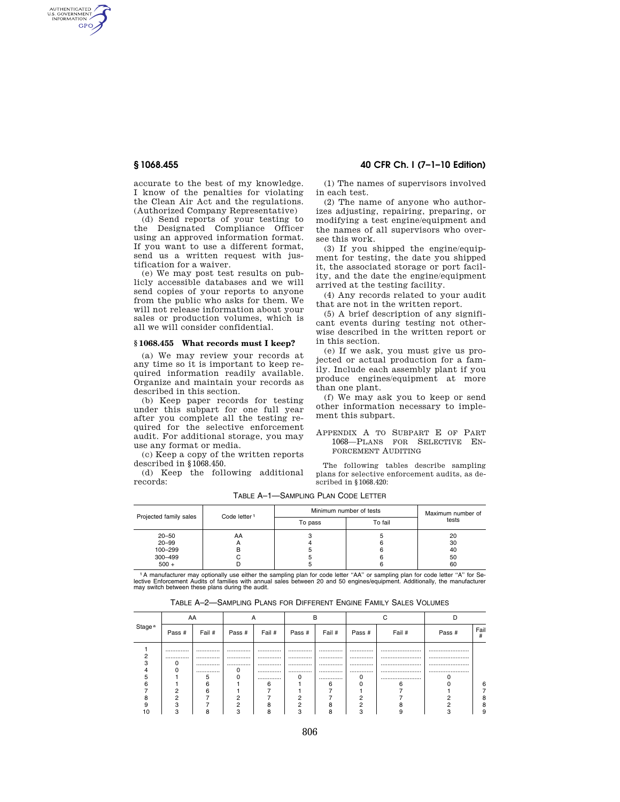AUTHENTICATED<br>U.S. GOVERNMENT<br>INFORMATION GPO

> accurate to the best of my knowledge. I know of the penalties for violating the Clean Air Act and the regulations. (Authorized Company Representative)

> (d) Send reports of your testing to the Designated Compliance Officer using an approved information format. If you want to use a different format, send us a written request with justification for a waiver.

> (e) We may post test results on publicly accessible databases and we will send copies of your reports to anyone from the public who asks for them. We will not release information about your sales or production volumes, which is all we will consider confidential.

### **§ 1068.455 What records must I keep?**

(a) We may review your records at any time so it is important to keep required information readily available. Organize and maintain your records as described in this section.

(b) Keep paper records for testing under this subpart for one full year after you complete all the testing required for the selective enforcement audit. For additional storage, you may use any format or media.

(c) Keep a copy of the written reports described in §1068.450.

(d) Keep the following additional records:

**§ 1068.455 40 CFR Ch. I (7–1–10 Edition)** 

(1) The names of supervisors involved in each test.

(2) The name of anyone who authorizes adjusting, repairing, preparing, or modifying a test engine/equipment and the names of all supervisors who oversee this work.

(3) If you shipped the engine/equipment for testing, the date you shipped it, the associated storage or port facility, and the date the engine/equipment arrived at the testing facility.

(4) Any records related to your audit that are not in the written report.

(5) A brief description of any significant events during testing not otherwise described in the written report or in this section.

(e) If we ask, you must give us projected or actual production for a family. Include each assembly plant if you produce engines/equipment at more than one plant.

(f) We may ask you to keep or send other information necessary to implement this subpart.

APPENDIX A TO SUBPART E OF PART 1068—PLANS FOR SELECTIVE EN-FORCEMENT AUDITING

The following tables describe sampling plans for selective enforcement audits, as described in §1068.420:

|                        | Projected family sales | Code letter <sup>1</sup> | Minimum number of tests | Maximum number of |          |
|------------------------|------------------------|--------------------------|-------------------------|-------------------|----------|
|                        |                        |                          | To pass                 | To fail           | tests    |
| $20 - 50$<br>$20 - 99$ |                        | AA                       |                         |                   | 20<br>30 |
|                        | 100-299                |                          |                         |                   | 40       |
|                        | 300-499                |                          |                         |                   | 50       |
|                        | $500 +$                |                          |                         |                   | 60       |

TABLE A–1—SAMPLING PLAN CODE LETTER

<sup>1</sup>A manufacturer may optionally use either the sampling plan for code letter "AA" or sampling plan for code letter "A" for Se-<br>lective Enforcement Audits of families with annual sales between 20 and 50 engines/equipment. may switch between these plans during the audit.

| TABLE A–2—SAMPLING PLANS FOR DIFFERENT ENGINE FAMILY SALES VOLUMES |  |  |  |  |
|--------------------------------------------------------------------|--|--|--|--|
|--------------------------------------------------------------------|--|--|--|--|

|                    | AA     |        | Α      |        |        |        |        |        |        |           |
|--------------------|--------|--------|--------|--------|--------|--------|--------|--------|--------|-----------|
| Stage <sup>a</sup> | Pass # | Fail # | Pass # | Fail # | Pass # | Fail # | Pass # | Fail # | Pass # | Fail<br># |
|                    |        |        |        |        |        |        |        |        |        |           |
|                    |        |        |        |        |        |        |        |        |        |           |
|                    |        |        |        |        |        |        |        |        |        |           |
|                    |        |        |        |        |        |        |        |        |        |           |
|                    |        |        |        |        |        |        |        |        |        |           |
|                    |        |        |        |        |        | ี      |        |        |        | Բ         |
|                    |        |        |        |        |        |        |        |        |        |           |
|                    |        |        |        |        |        |        |        |        |        | 8         |
|                    |        |        |        |        |        |        |        |        |        | 8         |
|                    |        |        |        |        |        |        |        |        |        | 9         |